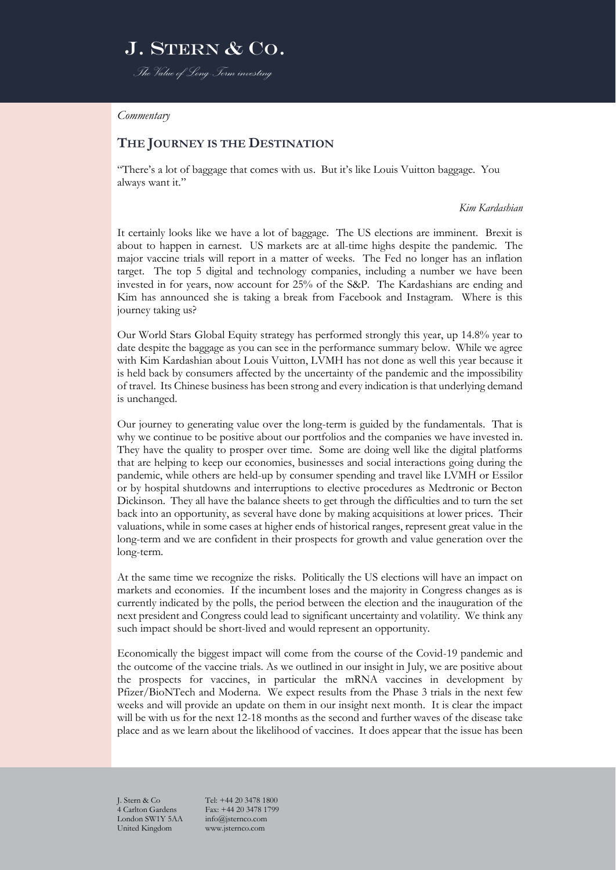## J. STERN & CO. *The Value of Long-Term investing*

#### *Commentary*

### **THE JOURNEY IS THE DESTINATION**

"There's a lot of baggage that comes with us. But it's like Louis Vuitton baggage. You always want it."

*Kim Kardashian*

It certainly looks like we have a lot of baggage. The US elections are imminent. Brexit is about to happen in earnest. US markets are at all-time highs despite the pandemic. The major vaccine trials will report in a matter of weeks. The Fed no longer has an inflation target. The top 5 digital and technology companies, including a number we have been invested in for years, now account for 25% of the S&P. The Kardashians are ending and Kim has announced she is taking a break from Facebook and Instagram. Where is this journey taking us?

Our World Stars Global Equity strategy has performed strongly this year, up 14.8% year to date despite the baggage as you can see in the performance summary below. While we agree with Kim Kardashian about Louis Vuitton, LVMH has not done as well this year because it is held back by consumers affected by the uncertainty of the pandemic and the impossibility of travel. Its Chinese business has been strong and every indication is that underlying demand is unchanged.

Our journey to generating value over the long-term is guided by the fundamentals. That is why we continue to be positive about our portfolios and the companies we have invested in. They have the quality to prosper over time. Some are doing well like the digital platforms that are helping to keep our economies, businesses and social interactions going during the pandemic, while others are held-up by consumer spending and travel like LVMH or Essilor or by hospital shutdowns and interruptions to elective procedures as Medtronic or Becton Dickinson. They all have the balance sheets to get through the difficulties and to turn the set back into an opportunity, as several have done by making acquisitions at lower prices. Their valuations, while in some cases at higher ends of historical ranges, represent great value in the long-term and we are confident in their prospects for growth and value generation over the long-term.

At the same time we recognize the risks. Politically the US elections will have an impact on markets and economies. If the incumbent loses and the majority in Congress changes as is currently indicated by the polls, the period between the election and the inauguration of the next president and Congress could lead to significant uncertainty and volatility. We think any such impact should be short-lived and would represent an opportunity.

Economically the biggest impact will come from the course of the Covid-19 pandemic and the outcome of the vaccine trials. As we outlined in our insight in July, we are positive about the prospects for vaccines, in particular the mRNA vaccines in development by Pfizer/BioNTech and Moderna. We expect results from the Phase 3 trials in the next few weeks and will provide an update on them in our insight next month. It is clear the impact will be with us for the next 12-18 months as the second and further waves of the disease take place and as we learn about the likelihood of vaccines. It does appear that the issue has been

4 Carlton Gardens Fax: +44 20 3478 1<br>
London SW1Y 5AA info@isternco.com London SW1Y 5AA United Kingdom www.jsternco.com

J. Stern & Co Tel: +44 20 3478 1800<br>4 Carlton Gardens Fax: +44 20 3478 1799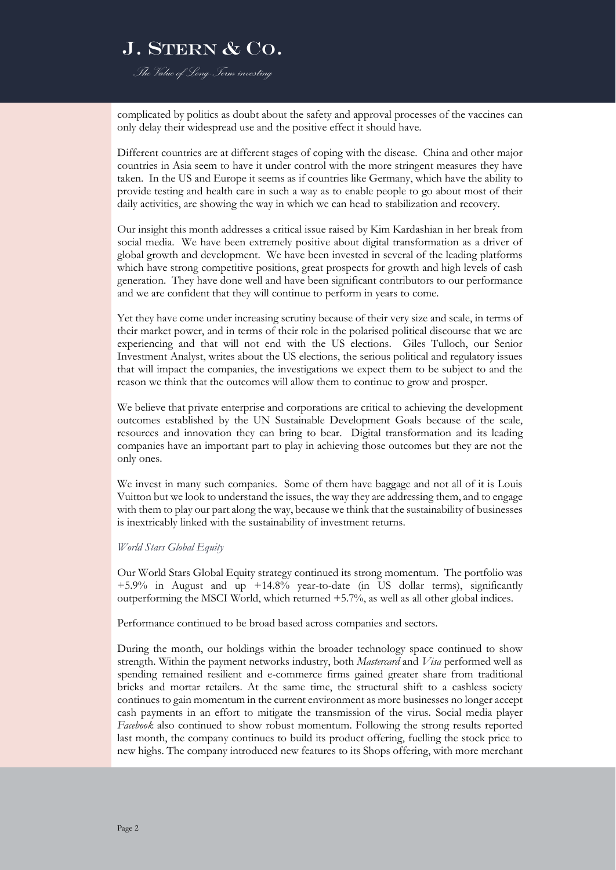*The Value of Long-Term investing*

complicated by politics as doubt about the safety and approval processes of the vaccines can only delay their widespread use and the positive effect it should have.

Different countries are at different stages of coping with the disease. China and other major countries in Asia seem to have it under control with the more stringent measures they have taken. In the US and Europe it seems as if countries like Germany, which have the ability to provide testing and health care in such a way as to enable people to go about most of their daily activities, are showing the way in which we can head to stabilization and recovery.

Our insight this month addresses a critical issue raised by Kim Kardashian in her break from social media. We have been extremely positive about digital transformation as a driver of global growth and development. We have been invested in several of the leading platforms which have strong competitive positions, great prospects for growth and high levels of cash generation. They have done well and have been significant contributors to our performance and we are confident that they will continue to perform in years to come.

Yet they have come under increasing scrutiny because of their very size and scale, in terms of their market power, and in terms of their role in the polarised political discourse that we are experiencing and that will not end with the US elections. Giles Tulloch, our Senior Investment Analyst, writes about the US elections, the serious political and regulatory issues that will impact the companies, the investigations we expect them to be subject to and the reason we think that the outcomes will allow them to continue to grow and prosper.

We believe that private enterprise and corporations are critical to achieving the development outcomes established by the UN Sustainable Development Goals because of the scale, resources and innovation they can bring to bear. Digital transformation and its leading companies have an important part to play in achieving those outcomes but they are not the only ones.

We invest in many such companies. Some of them have baggage and not all of it is Louis Vuitton but we look to understand the issues, the way they are addressing them, and to engage with them to play our part along the way, because we think that the sustainability of businesses is inextricably linked with the sustainability of investment returns.

### *World Stars Global Equity*

Our World Stars Global Equity strategy continued its strong momentum. The portfolio was +5.9% in August and up +14.8% year-to-date (in US dollar terms), significantly outperforming the MSCI World, which returned +5.7%, as well as all other global indices.

Performance continued to be broad based across companies and sectors.

During the month, our holdings within the broader technology space continued to show strength. Within the payment networks industry, both *Mastercard* and *Visa* performed well as spending remained resilient and e-commerce firms gained greater share from traditional bricks and mortar retailers. At the same time, the structural shift to a cashless society continues to gain momentum in the current environment as more businesses no longer accept cash payments in an effort to mitigate the transmission of the virus. Social media player *Facebook* also continued to show robust momentum. Following the strong results reported last month, the company continues to build its product offering, fuelling the stock price to new highs. The company introduced new features to its Shops offering, with more merchant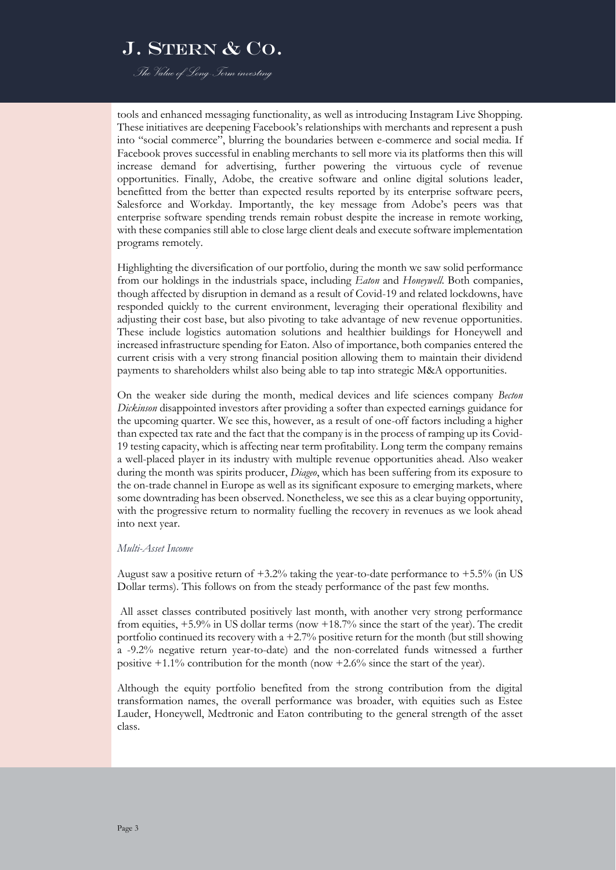*The Value of Long-Term investing*

tools and enhanced messaging functionality, as well as introducing Instagram Live Shopping. These initiatives are deepening Facebook's relationships with merchants and represent a push into "social commerce", blurring the boundaries between e-commerce and social media. If Facebook proves successful in enabling merchants to sell more via its platforms then this will increase demand for advertising, further powering the virtuous cycle of revenue opportunities. Finally, Adobe, the creative software and online digital solutions leader, benefitted from the better than expected results reported by its enterprise software peers, Salesforce and Workday. Importantly, the key message from Adobe's peers was that enterprise software spending trends remain robust despite the increase in remote working, with these companies still able to close large client deals and execute software implementation programs remotely.

Highlighting the diversification of our portfolio, during the month we saw solid performance from our holdings in the industrials space, including *Eaton* and *Honeywell*. Both companies, though affected by disruption in demand as a result of Covid-19 and related lockdowns, have responded quickly to the current environment, leveraging their operational flexibility and adjusting their cost base, but also pivoting to take advantage of new revenue opportunities. These include logistics automation solutions and healthier buildings for Honeywell and increased infrastructure spending for Eaton. Also of importance, both companies entered the current crisis with a very strong financial position allowing them to maintain their dividend payments to shareholders whilst also being able to tap into strategic M&A opportunities.

On the weaker side during the month, medical devices and life sciences company *Becton Dickinson* disappointed investors after providing a softer than expected earnings guidance for the upcoming quarter. We see this, however, as a result of one-off factors including a higher than expected tax rate and the fact that the company is in the process of ramping up its Covid-19 testing capacity, which is affecting near term profitability. Long term the company remains a well-placed player in its industry with multiple revenue opportunities ahead. Also weaker during the month was spirits producer, *Diageo*, which has been suffering from its exposure to the on-trade channel in Europe as well as its significant exposure to emerging markets, where some downtrading has been observed. Nonetheless, we see this as a clear buying opportunity, with the progressive return to normality fuelling the recovery in revenues as we look ahead into next year.

### *Multi-Asset Income*

August saw a positive return of  $+3.2\%$  taking the year-to-date performance to  $+5.5\%$  (in US Dollar terms). This follows on from the steady performance of the past few months.

All asset classes contributed positively last month, with another very strong performance from equities, +5.9% in US dollar terms (now +18.7% since the start of the year). The credit portfolio continued its recovery with a +2.7% positive return for the month (but still showing a -9.2% negative return year-to-date) and the non-correlated funds witnessed a further positive  $+1.1\%$  contribution for the month (now  $+2.6\%$  since the start of the year).

Although the equity portfolio benefited from the strong contribution from the digital transformation names, the overall performance was broader, with equities such as Estee Lauder, Honeywell, Medtronic and Eaton contributing to the general strength of the asset class.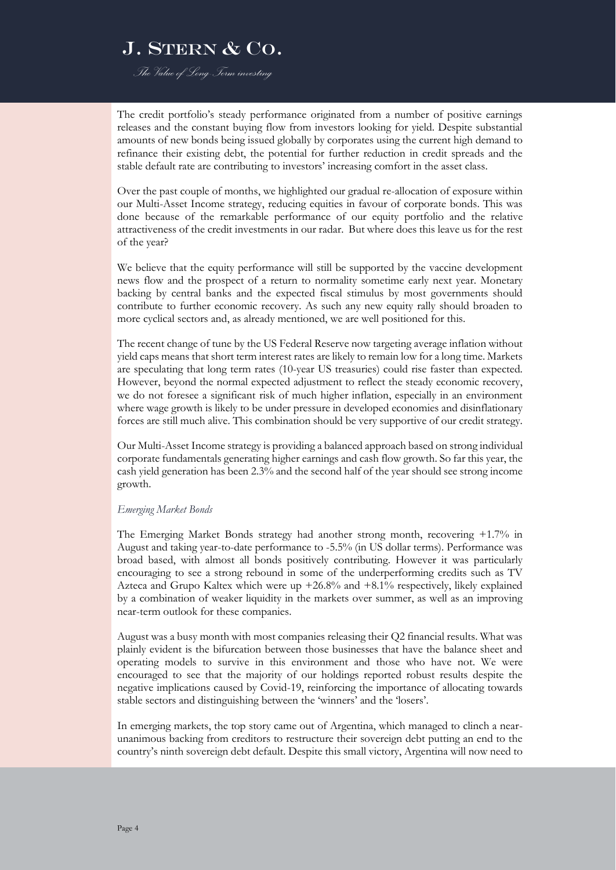*The Value of Long-Term investing*

The credit portfolio's steady performance originated from a number of positive earnings releases and the constant buying flow from investors looking for yield. Despite substantial amounts of new bonds being issued globally by corporates using the current high demand to refinance their existing debt, the potential for further reduction in credit spreads and the stable default rate are contributing to investors' increasing comfort in the asset class.

Over the past couple of months, we highlighted our gradual re-allocation of exposure within our Multi-Asset Income strategy, reducing equities in favour of corporate bonds. This was done because of the remarkable performance of our equity portfolio and the relative attractiveness of the credit investments in our radar. But where does this leave us for the rest of the year?

We believe that the equity performance will still be supported by the vaccine development news flow and the prospect of a return to normality sometime early next year. Monetary backing by central banks and the expected fiscal stimulus by most governments should contribute to further economic recovery. As such any new equity rally should broaden to more cyclical sectors and, as already mentioned, we are well positioned for this.

The recent change of tune by the US Federal Reserve now targeting average inflation without yield caps means that short term interest rates are likely to remain low for a long time. Markets are speculating that long term rates (10-year US treasuries) could rise faster than expected. However, beyond the normal expected adjustment to reflect the steady economic recovery, we do not foresee a significant risk of much higher inflation, especially in an environment where wage growth is likely to be under pressure in developed economies and disinflationary forces are still much alive. This combination should be very supportive of our credit strategy.

Our Multi-Asset Income strategy is providing a balanced approach based on strong individual corporate fundamentals generating higher earnings and cash flow growth. So far this year, the cash yield generation has been 2.3% and the second half of the year should see strong income growth.

#### *Emerging Market Bonds*

The Emerging Market Bonds strategy had another strong month, recovering +1.7% in August and taking year-to-date performance to -5.5% (in US dollar terms). Performance was broad based, with almost all bonds positively contributing. However it was particularly encouraging to see a strong rebound in some of the underperforming credits such as TV Azteca and Grupo Kaltex which were up  $+26.8\%$  and  $+8.1\%$  respectively, likely explained by a combination of weaker liquidity in the markets over summer, as well as an improving near-term outlook for these companies.

August was a busy month with most companies releasing their Q2 financial results. What was plainly evident is the bifurcation between those businesses that have the balance sheet and operating models to survive in this environment and those who have not. We were encouraged to see that the majority of our holdings reported robust results despite the negative implications caused by Covid-19, reinforcing the importance of allocating towards stable sectors and distinguishing between the 'winners' and the 'losers'.

In emerging markets, the top story came out of Argentina, which managed to clinch a nearunanimous backing from creditors to restructure their sovereign debt putting an end to the country's ninth sovereign debt default. Despite this small victory, Argentina will now need to